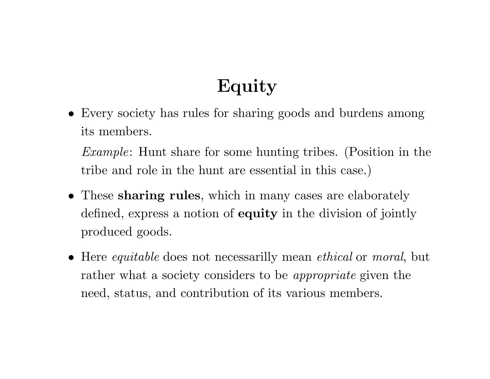# **Equity**

*•* Every society has rules for sharing goods and burdens among its members.

*Example*: Hunt share for some hunting tribes. (Position in the tribe and role in the hunt are essential in this case.)

- *•* These **sharing rules**, which in many cases are elaborately defined, express <sup>a</sup> notion of **equity** in the division of jointly produced goods.
- *•* Here *equitable* does not necessarilly mean *ethical* or *moral*, but rather what <sup>a</sup> society considers to be *appropriate* given the need, status, and contribution of its various members.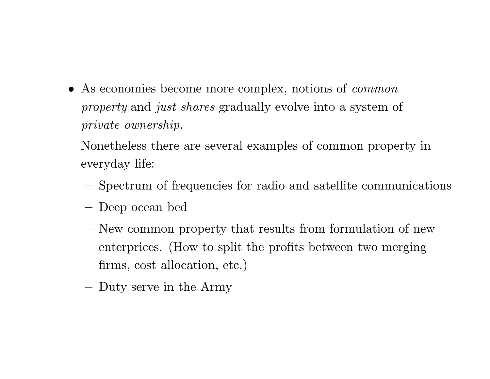*•* As economies become more complex, notions of *common property* and *just shares* gradually evolve into <sup>a</sup> system of *private ownership.*

Nonetheless there are several examples of common property in everyday life:

- Spectrum of frequencies for radio and satellite communications
- **–**Deep ocean bed
- **–** New common property that results from formulation of new enterprices. (How to split the profits between two merging firms, cost allocation, etc.)
- **–**Duty serve in the Army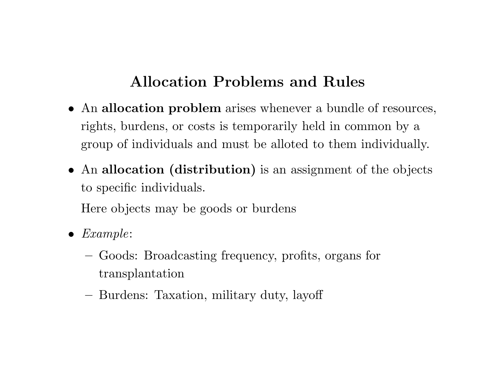## **Allocation Problems and Rules**

- *•* An **allocation problem** arises whenever <sup>a</sup> bundle of resources, rights, burdens, or costs is temporarily held in common by <sup>a</sup> group of individuals and must be alloted to them individually.
- *•* An **allocation (distribution)** is an assignment of the objects to specific individuals.

Here objects may be goods or burdens

- *• Example*:
	- **–** Goods: Broadcasting frequency, profits, organs for transplantation
	- **–**Burdens: Taxation, military duty, layoff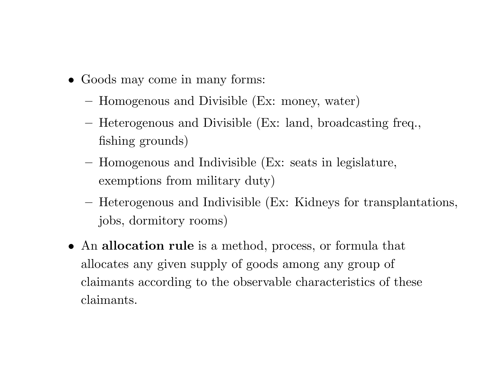- *•* Goods may come in many forms:
	- **–**Homogenous and Divisible (Ex: money, water)
	- Heterogenous and Divisible (Ex: land, broadcasting freq., fishing grounds)
	- **–** Homogenous and Indivisible (Ex: seats in legislature, exemptions from military duty)
	- **–** Heterogenous and Indivisible (Ex: Kidneys for transplantations, jobs, dormitory rooms)
- *•* An **allocation rule** is <sup>a</sup> method, process, or formula that allocates any given supply of goods among any group of claimants according to the observable characteristics of these claimants.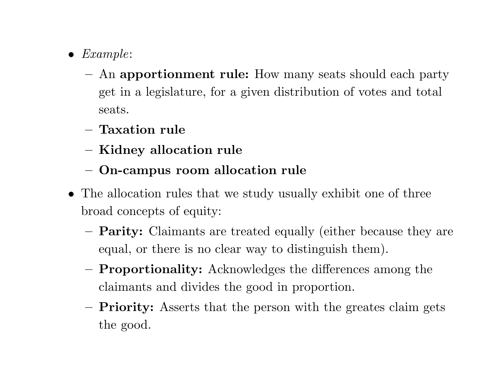- *• Example*:
	- **–** An **apportionment rule:** How many seats should each party get in <sup>a</sup> legislature, for <sup>a</sup> given distribution of votes and total seats.
	- **– Taxation rule**
	- **– Kidney allocation rule**
	- **– On-campus room allocation rule**
- *•* The allocation rules that we study usually exhibit one of three broad concepts of equity:
	- **–Parity:** Claimants are treated equally (either because they are equal, or there is no clear way to distinguish them).
	- **– Proportionality:** Acknowledges the differences among the claimants and divides the good in proportion.
	- **–Priority:** Asserts that the person with the greates claim gets the good.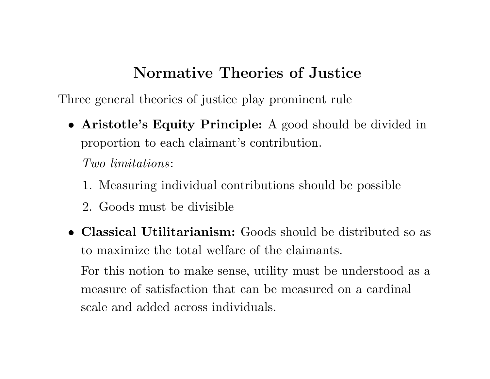## **Normative Theories of Justice**

Three general theories of justice <sup>p</sup>lay prominent rule

*•* **Aristotle's Equity Principle:** A good should be divided in proportion to each claimant's contribution.

*Two limitations*:

- 1. Measuring individual contributions should be possible
- 2. Goods must be divisible
- *•* **Classical Utilitarianism:** Goods should be distributed so as to maximize the total welfare of the claimants. For this notion to make sense, utility must be understood as <sup>a</sup> measure of satisfaction that can be measured on <sup>a</sup> cardinal

scale and added across individuals.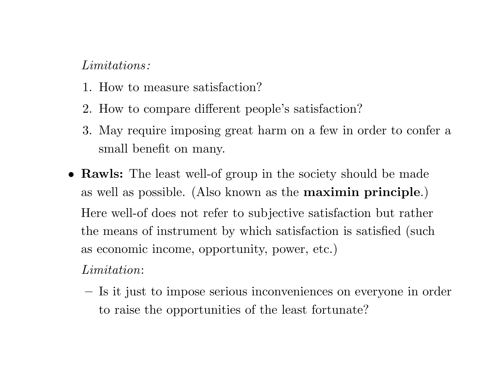#### *Limitations :*

- 1. How to measure satisfaction?
- 2. How to compare different people's satisfaction?
- 3. May require imposing great harm on <sup>a</sup> few in order to confer <sup>a</sup> small benefit on many.
- *•* **Rawls:** The least well-of group in the society should be made as well as possible. (Also known as the **maximin principle**.) Here well-of does not refer to subjective satisfaction but rather the means of instrument by which satisfaction is satisfied (such as economic income, opportunity, power, etc.)

*Limitation*:

**–** Is it just to impose serious inconveniences on everyone in order to raise the opportunities of the least fortunate?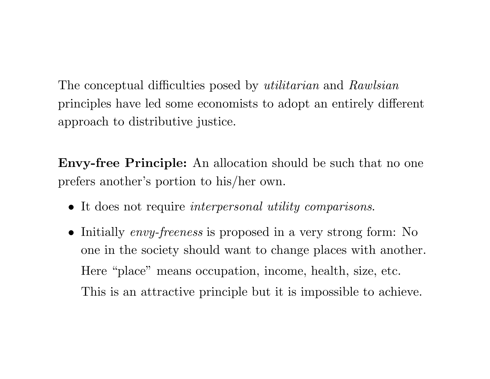The conceptual difficulties posed by *utilitarian* and *Rawlsian* principles have led some economists to adopt an entirely different approach to distributive justice.

**Envy-free Principle:** An allocation should be such that no one prefers another's portion to his/her own.

- *•* It does not require *interpersonal utility comparisons*.
- *•* Initially *envy-freeness* is proposed in <sup>a</sup> very strong form: No one in the society should want to change places with another. Here "place" means occupation, income, health, size, etc. This is an attractive principle but it is impossible to achieve.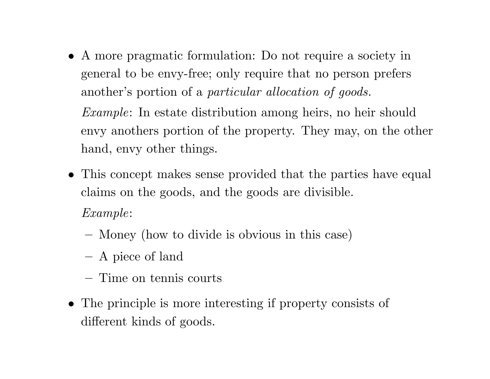*•* A more pragmatic formulation: Do not require <sup>a</sup> society in general to be envy-free; only require that no person prefers another's portion of <sup>a</sup> *particular allocation of goods.*

*Example*: In estate distribution among heirs, no heir should envy anothers portion of the property. They may, on the other hand, envy other things.

- *•* This concept makes sense provided that the parties have equal claims on the goods, and the goods are divisible. *Example*:
	- **–**Money (how to divide is obvious in this case)
	- A <sup>p</sup>iece of land
	- **–** Time on tennis courts
- *•* The principle is more interesting if property consists of different kinds of goods.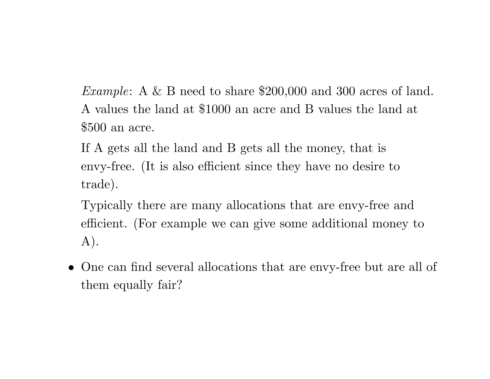*Example*: A & B need to share \$200,000 and 300 acres of land. A values the land at \$1000 an acre and B values the land at \$500 an acre.

- If A gets all the land and B gets all the money, that is envy-free. (It is also efficient since they have no desire to trade).
- Typically there are many allocations that are envy-free and efficient. (For example we can <sup>g</sup>ive some additional money to A).
- *•* One can find several allocations that are envy-free but are all of them equally fair?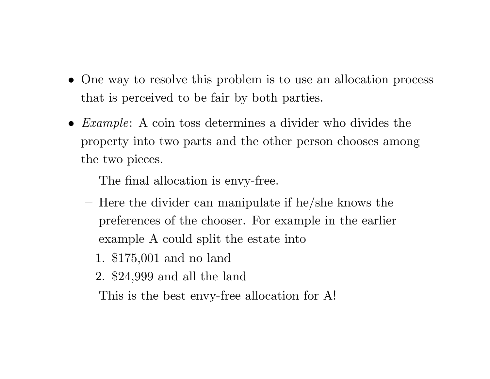- One way to resolve this problem is to use an allocation process that is perceived to be fair by both parties.
- *• Example*: A coin toss determines <sup>a</sup> divider who divides the property into two parts and the other person chooses among the two pieces.
	- The final allocation is envy-free.
	- **–**- Here the divider can manipulate if he/she knows the preferences of the chooser. For example in the earlier example A could split the estate into
		- 1. \$175,001 and no land
		- 2. \$24,999 and all the land

This is the best envy-free allocation for A!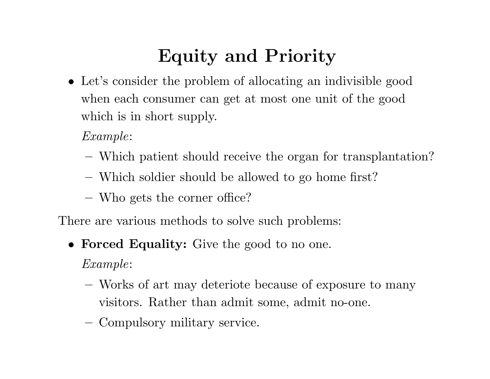# **Equity and Priority**

*•* Let's consider the problem of allocating an indivisible good when each consumer can get at most one unit of the good which is in short supply.

*Example*:

- Which patient should receive the organ for transplantation?
- Which soldier should be allowed to go home first?
- **–**Who gets the corner office?

There are various methods to solve such problems:

*•* **Forced Equality:** Give the good to no one.

*Example*:

- **–** Works of art may deteriote because of exposure to many visitors. Rather than admit some, admit no-one.
- **–**Compulsory military service.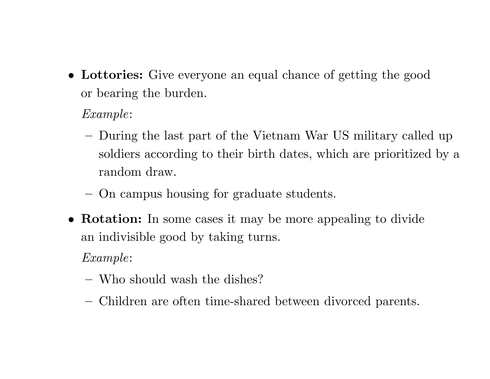*•* **Lottories:** Give everyone an equal chance of getting the good or bearing the burden.

*Example*:

- **–** During the last part of the Vietnam War US military called up soldiers according to their birth dates, which are prioritized by <sup>a</sup> random draw.
- **–**On campus housing for graduate students.
- *•* **Rotation:** In some cases it may be more appealing to divide an indivisible good by taking turns.

*Example*:

- **–** Who should wash the dishes?
- **–**Children are often time-shared between divorced parents.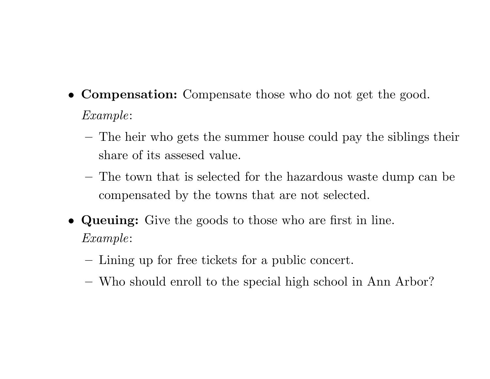- *•* **Compensation:** Compensate those who do not get the good. *Example*:
	- **–** The heir who gets the summer house could pay the siblings their share of its assesed value.
	- **–** The town that is selected for the hazardous waste dump can be compensated by the towns that are not selected.
- *•* **Queuing:** Give the goods to those who are first in line. *Example*:
	- **–**Lining up for free tickets for <sup>a</sup> public concert.
	- **–**Who should enroll to the special high school in Ann Arbor?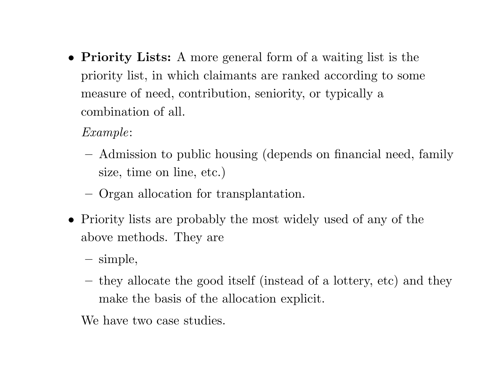- *•* **Priority Lists:** A more general form of <sup>a</sup> waiting list is the priority list, in which claimants are ranked according to some measure of need, contribution, seniority, or typically <sup>a</sup> combination of all.
	- *Example*:
	- **–** Admission to public housing (depends on financial need, family size, time on line, etc.)
	- **–**Organ allocation for transplantation.
- *•* Priority lists are probably the most widely used of any of the above methods. They are
	- **–**simple,
	- they allocate the good itself (instead of <sup>a</sup> lottery, etc) and they make the basis of the allocation explicit.

We have two case studies.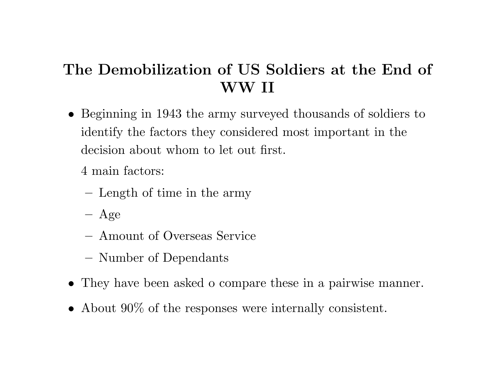## **The Demobilization of US Soldiers at the End of WW II**

- *•* Beginning in 1943 the army surveyed thousands of soldiers to identify the factors they considered most important in the decision about whom to let out first.
	- 4 main factors:
	- **–**Length of time in the army
	- **–** $-$  Age
	- **–** Amount of Overseas Service
	- **–**Number of Dependants
- *•* They have been asked <sup>o</sup> compare these in <sup>a</sup> pairwise manner.
- *•* About 90% of the responses were internally consistent.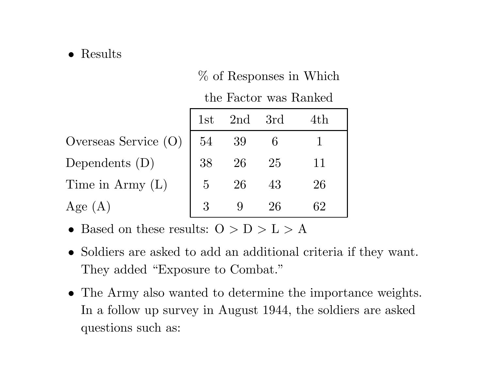#### *•* Results

### % of Responses in Which

the Factor was Ranked

|                        | 1st                 | $2nd$ 3rd |    | 4th |
|------------------------|---------------------|-----------|----|-----|
| Overseas Service $(O)$ | 54                  | -39       |    |     |
| Dependents $(D)$       | 38                  | 26        | 25 | 11  |
| Time in Army $(L)$     | $\overline{\Omega}$ | 26        | 43 | 26  |
| Age $(A)$              |                     |           | 26 | 62  |

- *•* Based on these results: O *>* D *>* L *>* A
- *•* Soldiers are asked to add an additional criteria if they want. They added "Exposure to Combat."
- *•* The Army also wanted to determine the importance weights. In <sup>a</sup> follow up survey in August 1944, the soldiers are asked questions such as: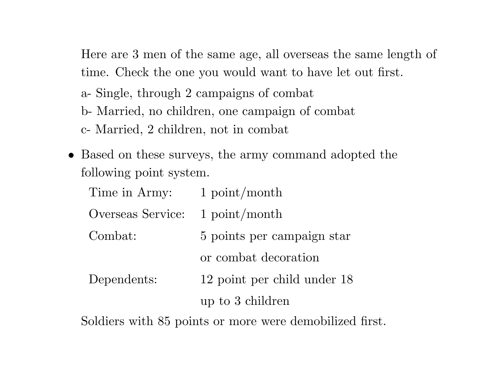Here are 3 men of the same age, all overseas the same length of time. Check the one you would want to have let out first.

a- Single, through 2 campaigns of combat

b- Married, no children, one campaign of combat

c- Married, 2 children, not in combat

*•* Based on these surveys, the army command adopted the following point system.

| Time in Army:     | $1$ point/month             |
|-------------------|-----------------------------|
| Overseas Service: | $1$ point/month             |
| Combat:           | 5 points per campaign star  |
|                   | or combat decoration        |
| Dependents:       | 12 point per child under 18 |
|                   | up to 3 children            |

Soldiers with 85 points or more were demobilized first.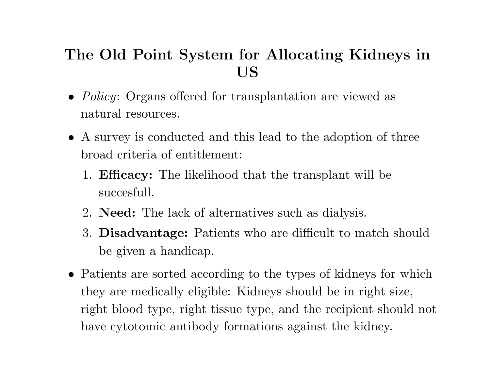## **The Old Point System for Allocating Kidneys in US**

- *• Policy*: Organs offered for transplantation are viewed as natural resources.
- *•* A survey is conducted and this lead to the adoption of three broad criteria of entitlement:
	- 1. **Efficacy:** The likelihood that the transplant will be succesfull.
	- 2. **Need:** The lack of alternatives such as dialysis.
	- 3. **Disadvantage:** Patients who are difficult to match should be given <sup>a</sup> handicap.
- *•* Patients are sorted according to the types of kidneys for which they are medically eligible: Kidneys should be in right size, right blood type, right tissue type, and the recipient should not have cytotomic antibody formations against the kidney.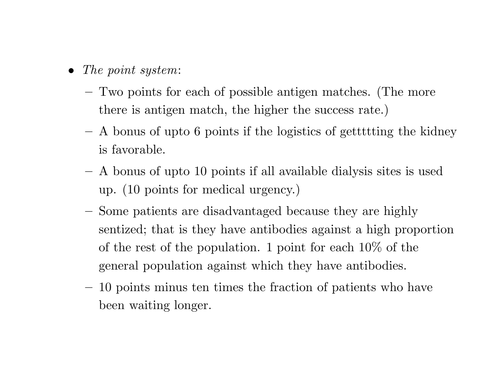- *• The point system*:
	- Two points for each of possible antigen matches. (The more there is antigen match, the higher the success rate.)
	- **–** A bonus of upto 6 points if the logistics of gettttting the kidney is favorable.
	- **–** A bonus of upto 10 points if all available dialysis sites is used up. (10 points for medical urgency.)
	- **–** Some patients are disadvantaged because they are highly sentized; that is they have antibodies against <sup>a</sup> high proportion of the rest of the population. 1 point for each 10% of the general population against which they have antibodies.
	- 10 points minus ten times the fraction of patients who have been waiting longer.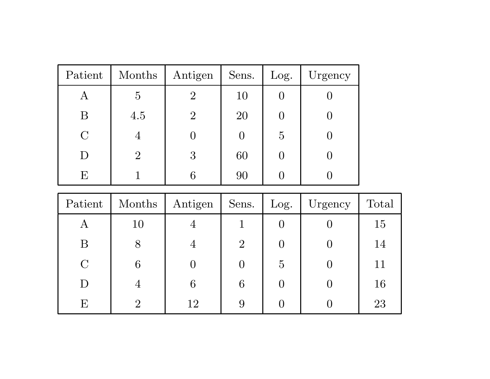| Patient       | Months         | Antigen        | Sens. | Log.           | Urgency |
|---------------|----------------|----------------|-------|----------------|---------|
| Α             | $\overline{5}$ | $\overline{2}$ | 10    |                |         |
| B             | 4.5            | $\overline{2}$ | 20    |                |         |
| $\mathcal{C}$ | 4              |                |       | $\overline{5}$ |         |
| $\big)$       | $\overline{2}$ | 3              | 60    |                |         |
| F,            |                |                | 90    |                |         |

| Patient        | Months | Antigen | Sens.          | Log.           | Urgency | Total |
|----------------|--------|---------|----------------|----------------|---------|-------|
| Α              | 10     | ╼┲      |                |                |         | 15    |
| Β              | 8      | 4       | $\overline{2}$ |                |         | 14    |
| $\overline{C}$ | 6      |         |                | $\overline{5}$ |         | 11    |
| D              | 4      | 6       | 6              |                |         | 16    |
| E              | റ      | 12      | 9              |                |         | 23    |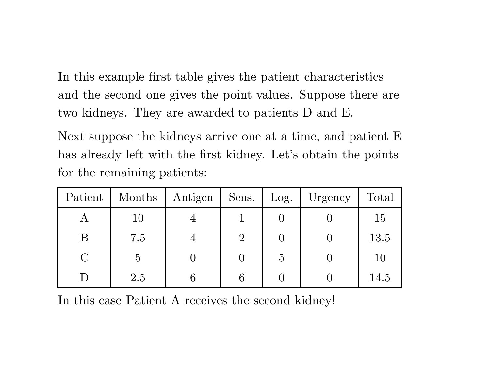In this example first table gives the patient characteristics and the second one gives the point values. Suppose there are two kidneys. They are awarded to patients D and E.

Next suppose the kidneys arrive one at <sup>a</sup> time, and patient E has already left with the first kidney. Let's obtain the points for the remaining patients:

| Patient | Months         | Antigen        | Sens.          | Log.          | Urgency | Total |
|---------|----------------|----------------|----------------|---------------|---------|-------|
| Α       | 10             |                |                |               |         | 15    |
| Β       | 7.5            | $\overline{4}$ | $\overline{2}$ |               |         | 13.5  |
| $\rm C$ | $\overline{5}$ |                |                | $\mathcal{O}$ |         | 10    |
|         | 2.5            |                |                |               |         | 14.5  |

In this case Patient A receives the second kidney!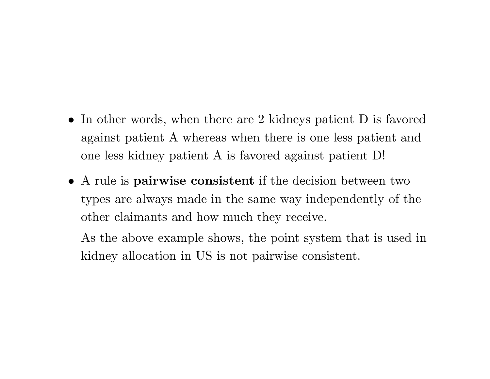- *•* In other words, when there are 2 kidneys patient D is favored against patient A whereas when there is one less patient and one less kidney patient A is favored against patient D!
- *•* A rule is **pairwise consistent** if the decision between two types are always made in the same way independently of the other claimants and how much they receive.

As the above example shows, the point system that is used in kidney allocation in US is not pairwise consistent.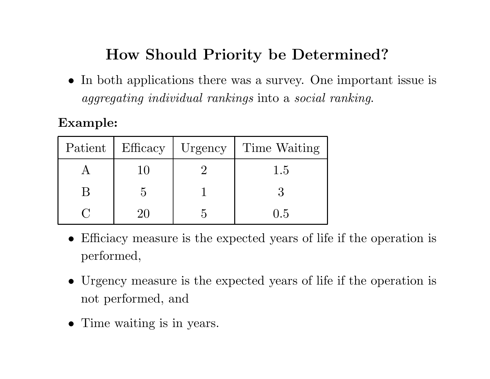## **How Should Priority be Determined?**

*•* In both applications there was <sup>a</sup> survey. One important issue is *aggregating individual rankings* into <sup>a</sup> *social ranking*.

### **Example:**

| Patient | Efficacy | Urgency | Time Waiting |
|---------|----------|---------|--------------|
|         |          |         | 1.5          |
|         |          |         |              |
|         |          |         | (1.5)        |

- *•* Efficiacy measure is the expected years of life if the operation is performed,
- *•* Urgency measure is the expected years of life if the operation is not performed, and
- *•* Time waiting is in years.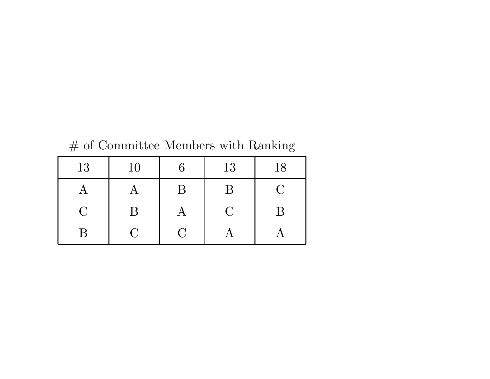| 13            | 10           | 6           | 13       | 18                                                           |
|---------------|--------------|-------------|----------|--------------------------------------------------------------|
|               |              | B           | B        | $\left( \begin{array}{c} \cdot \\ \cdot \end{array} \right)$ |
| $\mathcal{C}$ | B            |             | $\Gamma$ | B                                                            |
| B             | $\mathbf{C}$ | $\mathbf C$ |          |                                                              |

 $\#$  of Committee Members with Ranking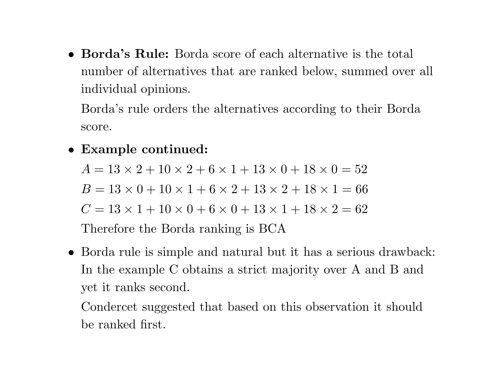*•* **Borda's Rule:** Borda score of each alternative is the total number of alternatives that are ranked below, summed over all individual opinions.

Borda's rule orders the alternatives according to their Borda score.

*•* **Example continued:**

 $A = 13 \times 2 + 10 \times 2 + 6 \times 1 + 13 \times 0 + 18 \times 0 = 52$  $B = 13 \times 0 + 10 \times 1 + 6 \times 2 + 13 \times 2 + 18 \times 1 = 66$  $C = 13 \times 1 + 10 \times 0 + 6 \times 0 + 13 \times 1 + 18 \times 2 = 62$ Therefore the Borda ranking is BCA

*•* Borda rule is simple and natural but it has <sup>a</sup> serious drawback: In the example C obtains <sup>a</sup> strict majority over A and B and yet it ranks second.

Condercet suggested that based on this observation it should be ranked first.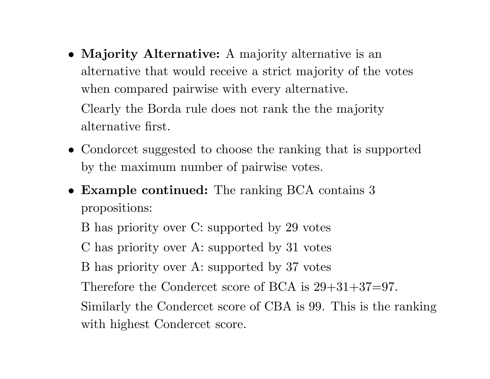- *•* **Majority Alternative:** A majority alternative is an alternative that would receive <sup>a</sup> strict majority of the votes when compared pairwise with every alternative. Clearly the Borda rule does not rank the the majority alternative first.
- *•* Condorcet suggested to choose the ranking that is supported by the maximum number of pairwise votes.
- *•* **Example continued:** The ranking BCA contains 3 propositions:

B has priority over C: supported by 29 votes

C has priority over A: supported by 31 votes

B has priority over A: supported by 37 votes

Therefore the Condercet score of BCA is  $29+31+37=97$ .

Similarly the Condercet score of CBA is 99. This is the ranking with highest Condercet score.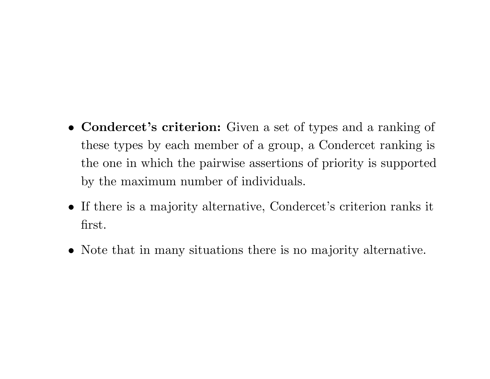- *•* **Condercet's criterion:** Given <sup>a</sup> set of types and <sup>a</sup> ranking of these types by each member of <sup>a</sup> group, <sup>a</sup> Condercet ranking is the one in which the pairwise assertions of priority is supported by the maximum number of individuals.
- *•* If there is <sup>a</sup> majority alternative, Condercet's criterion ranks it first.
- *•* Note that in many situations there is no majority alternative.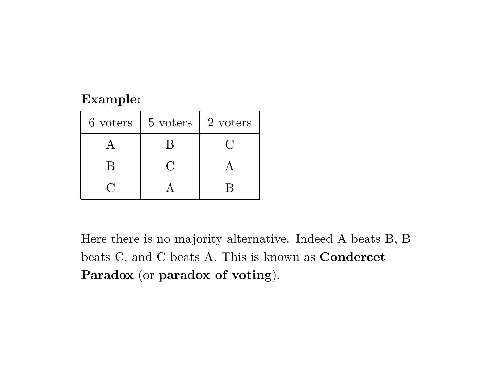#### **Example:**

| 6 voters | 5 voters | 2 voters |
|----------|----------|----------|
|          |          |          |
| R        |          |          |
|          |          |          |

Here there is no majority alternative. Indeed A beats B, B beats C, and C beats A. This is known as **Condercet Paradox** (or **paradox of voting**).